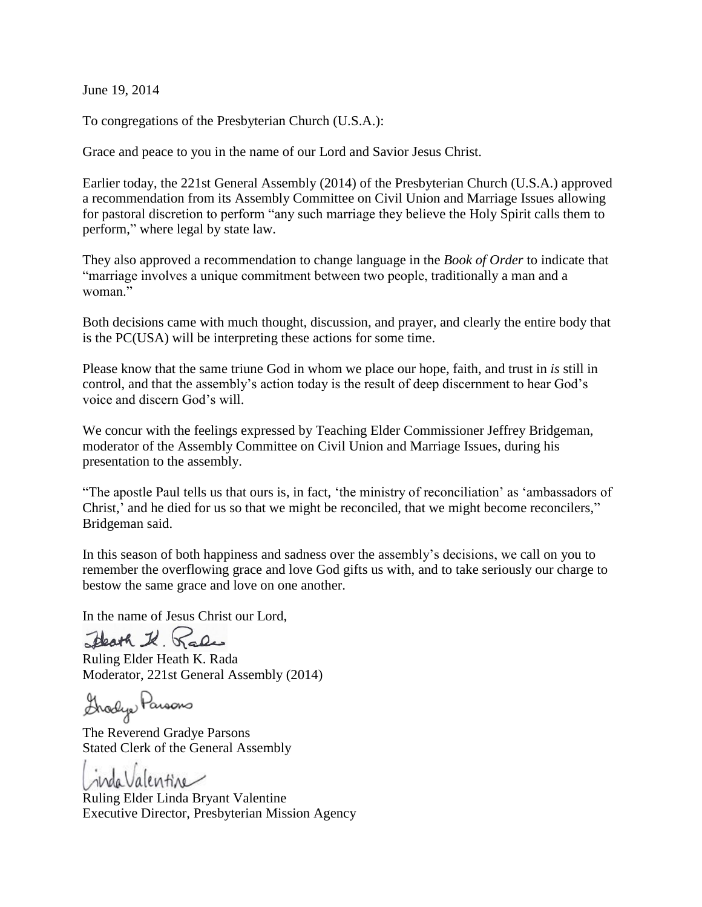June 19, 2014

To congregations of the Presbyterian Church (U.S.A.):

Grace and peace to you in the name of our Lord and Savior Jesus Christ.

Earlier today, the 221st General Assembly (2014) of the Presbyterian Church (U.S.A.) approved a recommendation from its Assembly Committee on Civil Union and Marriage Issues allowing for pastoral discretion to perform "any such marriage they believe the Holy Spirit calls them to perform," where legal by state law.

They also approved a recommendation to change language in the *Book of Order* to indicate that "marriage involves a unique commitment between two people, traditionally a man and a woman<sup>"</sup>

Both decisions came with much thought, discussion, and prayer, and clearly the entire body that is the PC(USA) will be interpreting these actions for some time.

Please know that the same triune God in whom we place our hope, faith, and trust in *is* still in control, and that the assembly's action today is the result of deep discernment to hear God's voice and discern God's will.

We concur with the feelings expressed by Teaching Elder Commissioner Jeffrey Bridgeman, moderator of the Assembly Committee on Civil Union and Marriage Issues, during his presentation to the assembly.

"The apostle Paul tells us that ours is, in fact, 'the ministry of reconciliation' as 'ambassadors of Christ,' and he died for us so that we might be reconciled, that we might become reconcilers," Bridgeman said.

In this season of both happiness and sadness over the assembly's decisions, we call on you to remember the overflowing grace and love God gifts us with, and to take seriously our charge to bestow the same grace and love on one another.

In the name of Jesus Christ our Lord,

Heath I. Rales

Ruling Elder Heath K. Rada Moderator, 221st General Assembly (2014)

Grodys Parsons

The Reverend Gradye Parsons Stated Clerk of the General Assembly

indaValentine

Ruling Elder Linda Bryant Valentine Executive Director, Presbyterian Mission Agency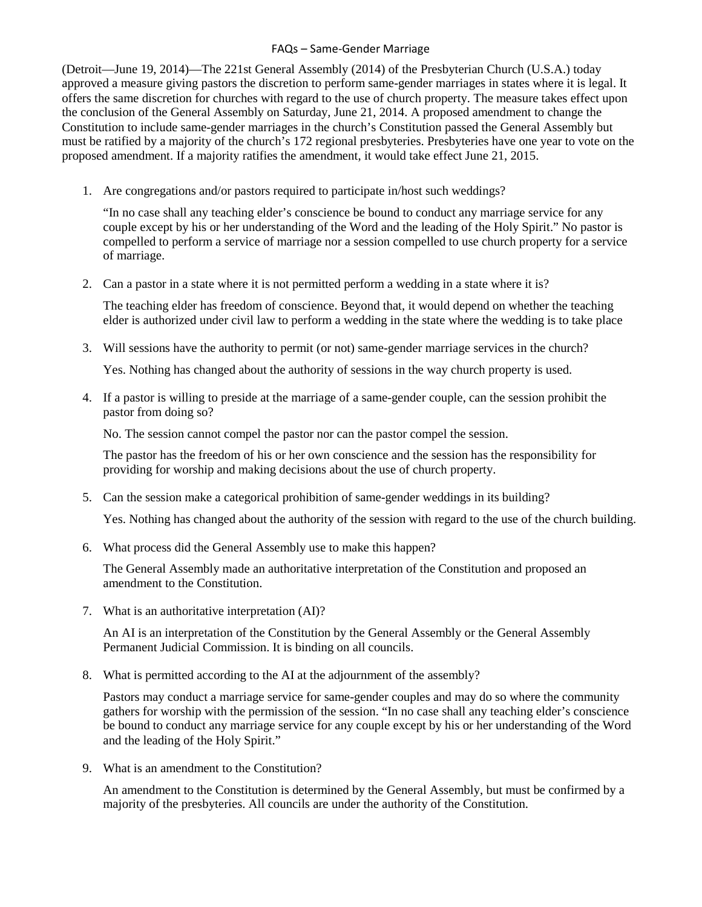## FAQs – Same-Gender Marriage

(Detroit—June 19, 2014)—The 221st General Assembly (2014) of the Presbyterian Church (U.S.A.) today approved a measure giving pastors the discretion to perform same-gender marriages in states where it is legal. It offers the same discretion for churches with regard to the use of church property. The measure takes effect upon the conclusion of the General Assembly on Saturday, June 21, 2014. A proposed amendment to change the Constitution to include same-gender marriages in the church's Constitution passed the General Assembly but must be ratified by a majority of the church's 172 regional presbyteries. Presbyteries have one year to vote on the proposed amendment. If a majority ratifies the amendment, it would take effect June 21, 2015.

1. Are congregations and/or pastors required to participate in/host such weddings?

"In no case shall any teaching elder's conscience be bound to conduct any marriage service for any couple except by his or her understanding of the Word and the leading of the Holy Spirit." No pastor is compelled to perform a service of marriage nor a session compelled to use church property for a service of marriage.

2. Can a pastor in a state where it is not permitted perform a wedding in a state where it is?

The teaching elder has freedom of conscience. Beyond that, it would depend on whether the teaching elder is authorized under civil law to perform a wedding in the state where the wedding is to take place

3. Will sessions have the authority to permit (or not) same-gender marriage services in the church?

Yes. Nothing has changed about the authority of sessions in the way church property is used.

4. If a pastor is willing to preside at the marriage of a same-gender couple, can the session prohibit the pastor from doing so?

No. The session cannot compel the pastor nor can the pastor compel the session.

The pastor has the freedom of his or her own conscience and the session has the responsibility for providing for worship and making decisions about the use of church property.

5. Can the session make a categorical prohibition of same-gender weddings in its building?

Yes. Nothing has changed about the authority of the session with regard to the use of the church building.

6. What process did the General Assembly use to make this happen?

The General Assembly made an authoritative interpretation of the Constitution and proposed an amendment to the Constitution.

7. What is an authoritative interpretation (AI)?

An AI is an interpretation of the Constitution by the General Assembly or the General Assembly Permanent Judicial Commission. It is binding on all councils.

8. What is permitted according to the AI at the adjournment of the assembly?

Pastors may conduct a marriage service for same-gender couples and may do so where the community gathers for worship with the permission of the session. "In no case shall any teaching elder's conscience be bound to conduct any marriage service for any couple except by his or her understanding of the Word and the leading of the Holy Spirit."

9. What is an amendment to the Constitution?

An amendment to the Constitution is determined by the General Assembly, but must be confirmed by a majority of the presbyteries. All councils are under the authority of the Constitution.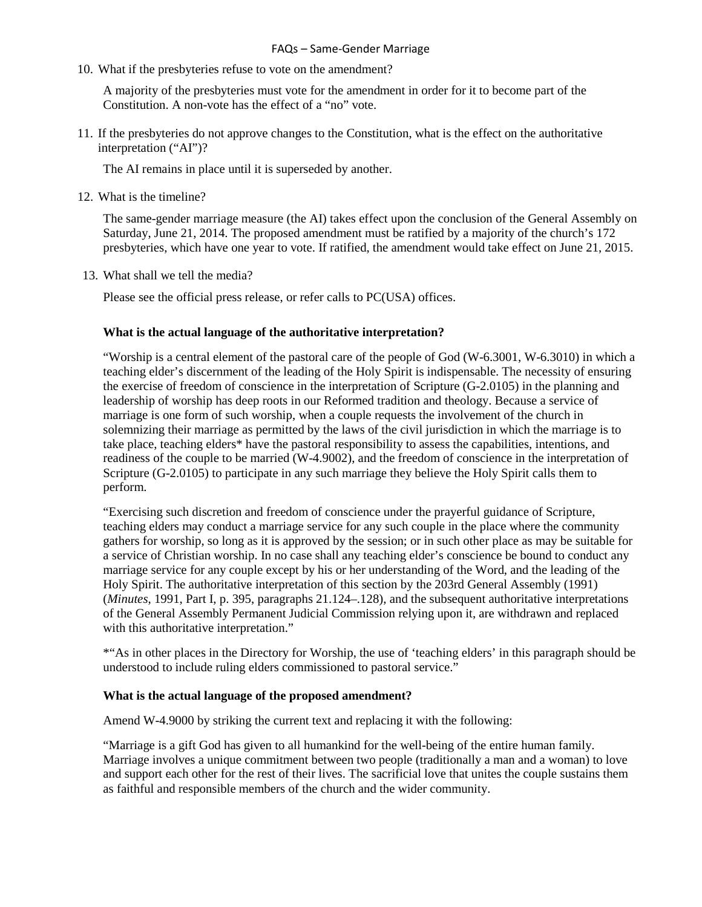10. What if the presbyteries refuse to vote on the amendment?

A majority of the presbyteries must vote for the amendment in order for it to become part of the Constitution. A non-vote has the effect of a "no" vote.

11. If the presbyteries do not approve changes to the Constitution, what is the effect on the authoritative interpretation ("AI")?

The AI remains in place until it is superseded by another.

12. What is the timeline?

The same-gender marriage measure (the AI) takes effect upon the conclusion of the General Assembly on Saturday, June 21, 2014. The proposed amendment must be ratified by a majority of the church's 172 presbyteries, which have one year to vote. If ratified, the amendment would take effect on June 21, 2015.

13. What shall we tell the media?

Please see the official press release, or refer calls to PC(USA) offices.

## **What is the actual language of the authoritative interpretation?**

"Worship is a central element of the pastoral care of the people of God (W-6.3001, W-6.3010) in which a teaching elder's discernment of the leading of the Holy Spirit is indispensable. The necessity of ensuring the exercise of freedom of conscience in the interpretation of Scripture (G-2.0105) in the planning and leadership of worship has deep roots in our Reformed tradition and theology. Because a service of marriage is one form of such worship, when a couple requests the involvement of the church in solemnizing their marriage as permitted by the laws of the civil jurisdiction in which the marriage is to take place, teaching elders\* have the pastoral responsibility to assess the capabilities, intentions, and readiness of the couple to be married (W-4.9002), and the freedom of conscience in the interpretation of Scripture (G-2.0105) to participate in any such marriage they believe the Holy Spirit calls them to perform.

"Exercising such discretion and freedom of conscience under the prayerful guidance of Scripture, teaching elders may conduct a marriage service for any such couple in the place where the community gathers for worship, so long as it is approved by the session; or in such other place as may be suitable for a service of Christian worship. In no case shall any teaching elder's conscience be bound to conduct any marriage service for any couple except by his or her understanding of the Word, and the leading of the Holy Spirit. The authoritative interpretation of this section by the 203rd General Assembly (1991) (*Minutes*, 1991, Part I, p. 395, paragraphs 21.124–.128), and the subsequent authoritative interpretations of the General Assembly Permanent Judicial Commission relying upon it, are withdrawn and replaced with this authoritative interpretation."

\*"As in other places in the Directory for Worship, the use of 'teaching elders' in this paragraph should be understood to include ruling elders commissioned to pastoral service."

## **What is the actual language of the proposed amendment?**

Amend W-4.9000 by striking the current text and replacing it with the following:

"Marriage is a gift God has given to all humankind for the well-being of the entire human family. Marriage involves a unique commitment between two people (traditionally a man and a woman) to love and support each other for the rest of their lives. The sacrificial love that unites the couple sustains them as faithful and responsible members of the church and the wider community.